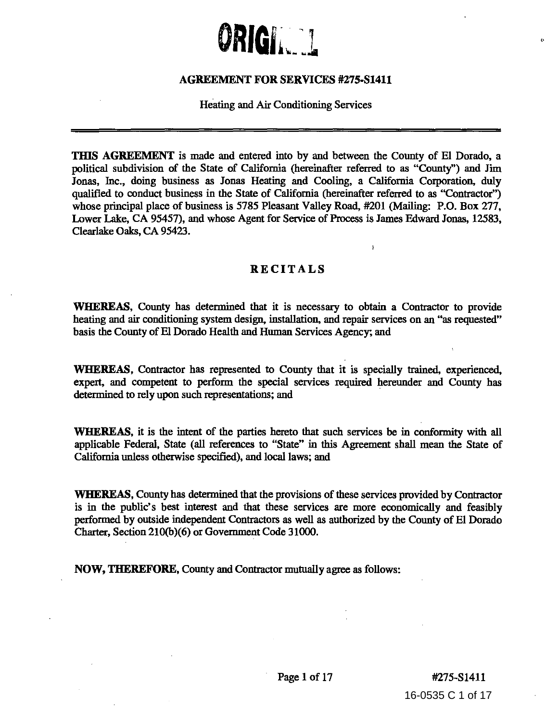

## **AGREEMENT FOR SERVICES #275-S1411**

Heating and Air Conditioning Services

**TillS AGREEMENT** is made and entered into by and between the County of El Dorado, a political subdivision of the State of California (hereinafter referred to as "County'') and Jim Jonas, Inc., doing business as Jonas Heating and Cooling, a California Corporation, duly qualified to conduct business in the State of California (hereinafter referred to as "Contractor") whose principal place of business is 5785 Pleasant Valley Road, #201 (Mailing: P.O. Box 277, Lower Lake, CA 95457), and whose Agent for Service of Process is James Edward Jonas, 12583, Clearlake Oaks, CA 95423.

# **RECITALS**

**WHEREAS,** County has determined tbat it is necessary to obtain a Contractor to provide heating and air conditioning system design, installation, and repair services on an "as requested" basis the County of El Dorado Health and Human Services Agency; and

**WHEREAS,** Contractor has represented to County tbat it is specially trained, experienced, expert, and competent to perform the special services required hereunder and County has determined to rely upon such representations; and

**WHEREAS,** it is the intent of the parties hereto tbat such services be in conformity with all applicable Federal, State (all references to "State" in this Agreement shall mean the State of California unless otherwise specified), and local laws; and

**WHEREAS,** County has determined that the provisions of these services provided by Contractor is in the public's best interest and tbat these services are more economically and feasibly performed by outside independent Contractors as well as authorized by the County of El Dorado Charter, Section 210(b)(6) or Government Code 31000.

**NOW, TIIEREFORE,** County and Contractor mutually agree as follows:

16-0535 C 1 of 17 Page 1 of 17 #275-S1411

 $\epsilon$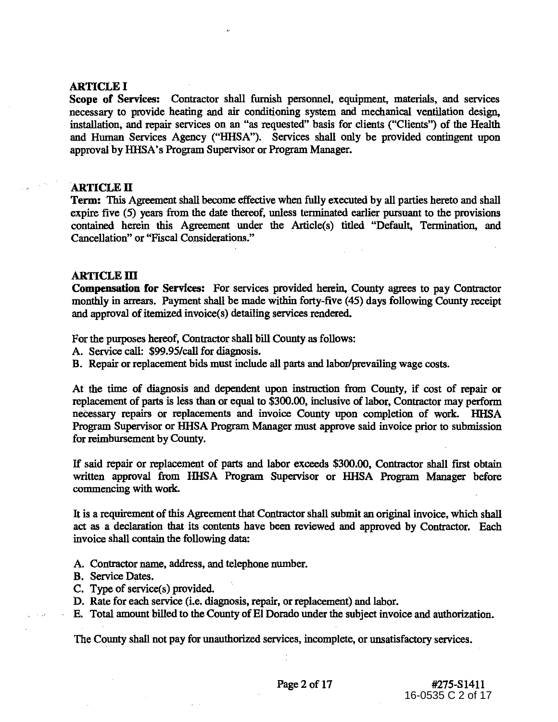## ARTICLE I

Scope of Services: Contractor shall furnish personnel, equipment, materials, and services necessary to provide heating and air conditioning system and mechanical ventilation design, installation, and repair services on an "as requested" basis for clients ("Clients") of the Health and Human Services Agency ("HHSA"). Services shall only be provided contingent upon approval by HHSA's Program Supervisor or Program Manager.

# ARTICLE II

Term: This Agreement shall become effective when fully executed by all parties hereto and shall expire five (5) years from the date thereof, unless terminated earlier pursuant to the provisions contained herein this Agreement under the Article(s) titled "Default, Termination, and Cancellation" or "Fiscal Considerations."

## **ARTICLE III**

Compensation for Services: For services provided herein, County agrees to pay Contractor monthly in arrears. Payment shall be made within forty-five (45) days following County receipt and approval of itemized invoice(s) detailing services rendered.

For the purposes hereof, Contractor shall bill County as follows:

A. Service call: \$99.95/call for diagnosis.

B. Repair or replacement bids must include all parts and labor/prevailing wage costs.

At the time of diagnosis and dependent upon instruction from County, if cost of repair or replacement of parts is less than or equal to \$300.00, inclusive of labor, Contractor may perform neeessary repairs or replacements and invoice County upon completion of work. HHSA Program Supervisor or HHSA Program Manager must approve said invoice prior to submission for reimbursement by County.

If said repair or replacement of parts and labor exceeds \$300.00, Contractor shall first obtain written approval from HHSA Program Supervisor or HHSA Program Manager before commencing with work.

It is a requirement of this Agreement that Contractor shall submit an original invoice, which shall act as a declaration that its contents have been reviewed and approved by Contractor. Each invoice shall contain the following data:

A. Contractor name, address, and telephone number.

- B. Service Dates.
- C. Type of service(s) provided.
- D. Rate for each service (i.e. diagnosis, repair, or replacement) and labor.

E. Total amount billed to the County of El Dorado under the subject invoice and authorization.

The County shall not pay for unauthorized services, incomplete, or unsatisfactory services.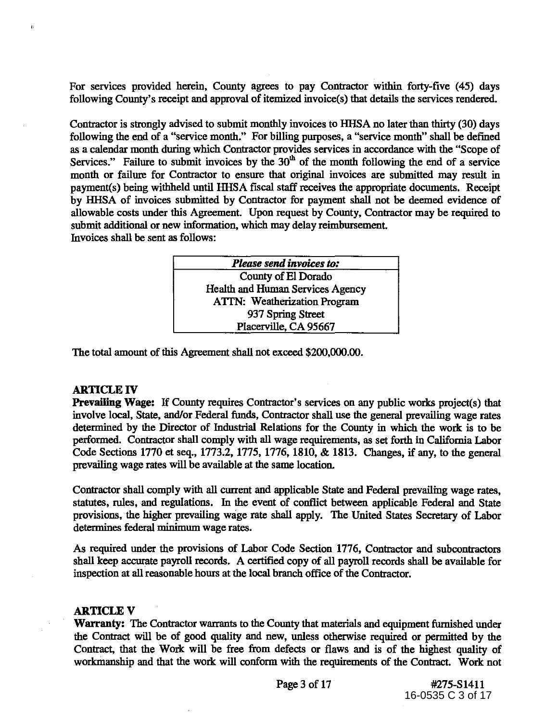For services provided herein, County agrees to pay Contractor within forty-five (45) days following County's receipt and approval of itemized invoice(s) that details the services rendered.

Contractor is strongly advised to submit monthly invoices to HHSA no later than thirty (30) days following the end of a "service month." For billing purposes, a "service month" shall be defined as a calendar month during which Contractor provides services in accordance with the "Scope of Services." Failure to submit invoices by the  $30<sup>th</sup>$  of the month following the end of a service month or failure for Contractor to ensure that original invoices are submitted may result in payment(s) being withheld until HHSA fiscal staff receives the appropriate documents. Receipt by HHSA of invoices submitted by Contractor for payment shall not be deemed evidence of allowable costs under this Agreement. Upon request by County, Contractor may be required to submit additional or new information, which may delay reimbursement Invoices shall be sent as follows:

| <b>Please send invoices to:</b>         |
|-----------------------------------------|
| County of El Dorado                     |
| <b>Health and Human Services Agency</b> |
| <b>ATTN: Weatherization Program</b>     |
| 937 Spring Street                       |
| Placerville, CA 95667                   |

The total amount of this Agreement shall not exceed \$200,000.00.

# ARTICLE IV

..

Prevailing Wage: If County requires Contractor's services on any public works project(s) that involve local, State, and/or Federal funds, Contractor shall use the general prevailing wage rates determined by the Director of Industrial Relations for the County in which the work is to be performed. Contractor shall comply with all wage requirements, as set forth in California Labor Code Sections 1770 et seq., 1773.2, 1775, 1776, 1810, & 1813. Changes, if any, to the general prevailing wage rates will be available at the same location.

Contractor shall comply with all current and applicable State and Federal prevailing wage rates, statutes, rules, and regulations. In the event of conflict between applicable Federal and State provisions, the higher prevailing wage rate shall apply. The United States Secretary of Labor determines federal minimum wage rates.

As required under the provisions of Labor Code Section 1776, Contractor and subcontractors shall keep accurate payroll records. A certified copy of all payroll records shall be available for inspection at all reasonable hours at the local branch office of the Contractor.

## **ARTICLE V**

Warranty: The Contractor warrants to the County that materials and equipment furnished under the Contract will be of good quality and new, unless otherwise required or permitted by the Contract, that the Work will be free from defects or flaws and is of the highest quality of workmanship and that the work will conform with the requirements of the Contract. Work not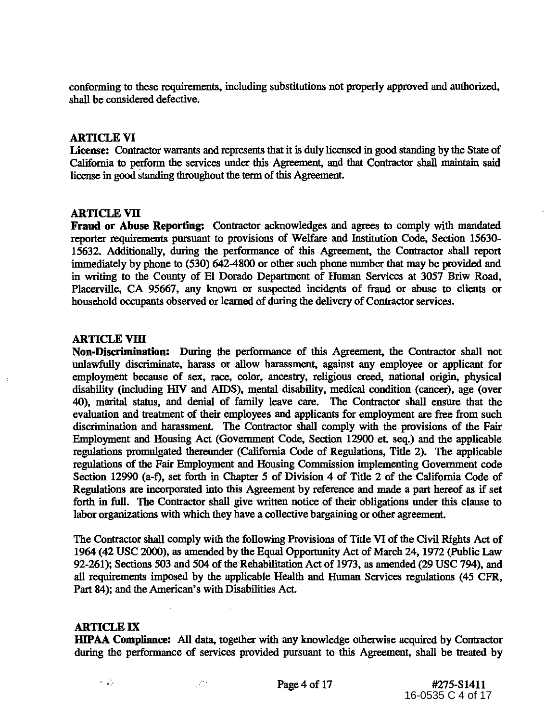conforming to these requirements, including substitutions not properly approved and authorized, shall be considered defective.

## ARTICLE VI

License: Contractor warrants and represents that it is duly licensed in good standing by the State of California to perform the services under this Agreement, and that Contractor shall maintain said license in good standing throughout the term of this Agreement.

## ARTICLE VII

Fraud or Abuse Reporting: Contractor acknowledges and agrees to comply with mandated reporter requirements pursuant to provisions of Welfare and Institution Code, Section 15630- 15632. Additionally, during the performance of this Agreement, the Contractor shall report immediately by phone to (530) 642-4800 or other such phone number that may be provided and in writing to the County of El Dorado Department of Human Services at 3057 Briw Road, Placerville, CA 95667, any known or suspected incidents of fraud or abuse to clients or household occupants observed or learned of during the delivery of Contractor services.

## ARTICLE VIII

Non-Discrimination: During the performance of this Agreement, the Contractor shall not unlawfully discriminate, harass or allow harassment, against any employee or applicant for employment because of sex, race, color, ancestry, religious creed, national origin, physical disability (including HIV and AIDS), mental disability, medical condition (cancer), age (over 40), marital status, and denial of family leave care. The Contractor shall ensure that the evaluation and treatment of their employees and applicants for employment are free from such discrimination and harassment. The Contractor shall comply with the provisions of the Fair Employment and Housing Act (Govermnent Code, Section 12900 et. seq.) and the applicable regulations promulgated thereunder (California Code of Regulations, Title 2). The applicable regulations of the Fair Employment and Housing Commission implementing Government code Section 12990 (a-f), set forth in Chapter *5* of Division 4 of Title 2 of the California Code of Regulations are incorporated into this Agreement by reference and made a part hereof as if set forth in full. The Contractor shall give written notice of their obligations under this clause to labor organizations with which they have a collective bargaining or other agreement.

The Contractor shall comply with the following Provisions of Title VI of the Civil Rights Act of 1964 (42 USC 2000), as amended by the Equal Opportunity Act of March 24, 1972 (Public Law 92-261); Sections 503 and 504 of the Rehabilitation Act of 1973, as amended (29 USC 794), and all requirements imposed by the applicable Health and Human Services regulations (45 CFR, Part 84); and the American's with Disabilities Act.

# ARTICLE IX

IHPAA Compliance: All data, together with any knowledge otherwise acquired by Contractor during the performance of services provided pursuant to this Agreement, shall be treated by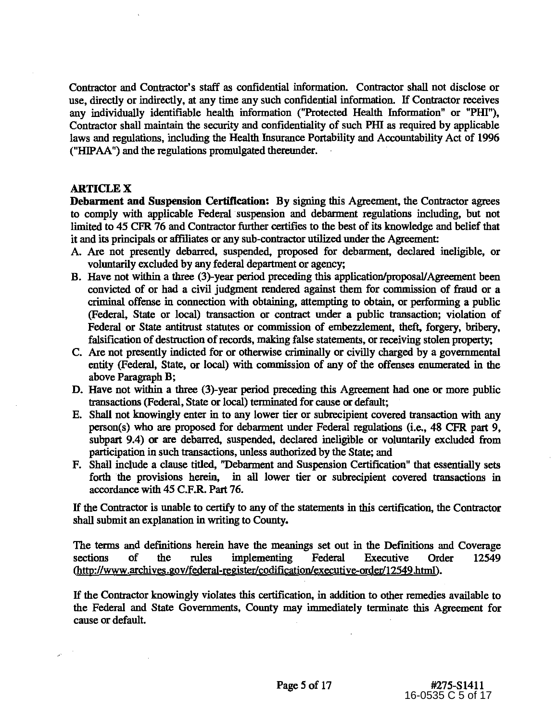Contractor and Contractor's staff as confidential information. Contractor shall not disclose or use, directly or indirectly, at any time any such confidential information. If Contractor receives any individually identifiable health information ("Protected Health Information" or "PHI"), Contractor shall maintain the security and confidentiality of such Pill as required by applicable laws and regulations, including the Health Insurance Portability and Accountability Act of 1996 ("HIPAA") and the regulations promulgated thereunder.

## **ARTICLE X**

**Debarment and Suspension Certification:** By signing this Agreement, the Contractor agrees to comply with applicable Federal suspension and debarment regulations including, but not limited to 45 CFR 76 and Contractor further certifies to the best of its knowledge and belief that it and its principals or affiliates or any sub-contractor utilized under the Agreement:

- A. Are not presently debarred, suspended, proposed for debarment, declared ineligible, or voluntarily excluded by any federal department or agency;
- B. Have not within a three (3)-year period preceding this application/proposal/Agreement been convicted of or had a civil judgment rendered against them for commission of fraud or a criminal offense in connection with obtaining, attempting to obtain, or performing a public (Federal, State or local) transaction or contract under a public transaction; violation of Federal or State antitrust statutes or commission of embezzlement, theft, forgery, bribery, falsification of destruction of records, making false statements, or receiving stolen property;
- C. Are not presently indicted for or otherwise criminally or civilly charged by a governmental entity (Federal, State, or local) with commission of any of the offenses enumerated in the above Paragraph B;
- D. Have not within a three (3)-year period preceding this Agreement had one or more public transactions (Federal, State or local) terminated for cause or default;
- E. Shall not knowingly enter in to any lower tier or subrecipient covered transaction with any person(s) who are proposed for debarment under Federal regulations (i.e., 48 CFR part 9, subpart 9.4) or are debarred, suspended, declared ineligible or voluntarily excluded from participation in such transactions, unless authorized by the State; and
- F. Shall include a clause titled, ''Debarment and Suspension Certification" that essentially sets forth the provisions herein, in all lower tier or subrecipient covered transactions in accordance with 45 C.F.R. Part 76.

If the Contractor is unable to certify to any of the statements in this certification, the Contractor shall submit an explanation in writing to County.

The terms and definitions herein have the meanings set out in the Def'mitions and Coverage sections of the rules implementing Federal Executive Order 12549 (http://www.archives.gov/federal-register/codification/executive-order/12549.html).

If the Contractor knowingly violates this certification, in addition to other remedies available to the Federal and State Governments, County may immediately terminate this Agreement for cause or default.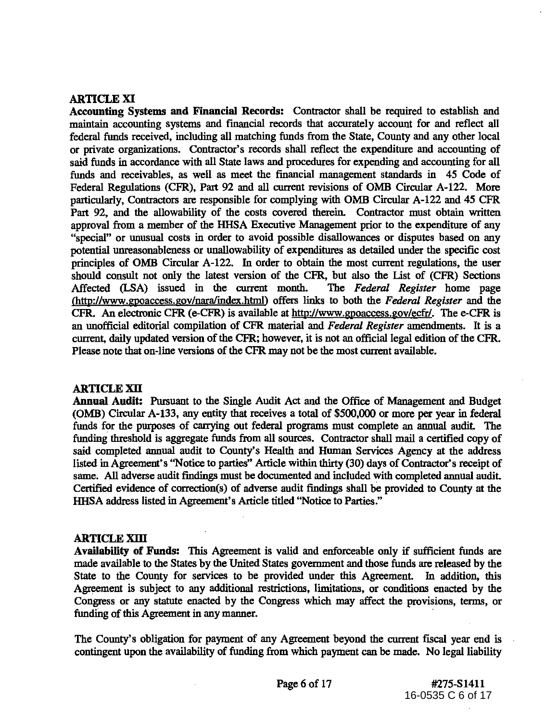# ARTICLE XI

Accounting Systems and Financial Records: Contractor shall be required to establish and maintain accounting systems and financial records that accurately account for and reflect all federal funds received, including all matching funds from the State, County and any other local or private organizations. Contractor's records shall reflect the expenditure and accounting of said funds in accordance with all State laws and procedures for expending and accounting for all funds and receivables, as well as meet the financial management standards in 45 Code of Federal Regulations (CPR), Part 92 and all current revisions of OMB Circular A-122. More particularly, Contractors are responsible for complying with OMB Circular A-122 and 45 CPR Part 92, and the allowability of the costs covered therein. Contractor must obtain written approval from a member of the HHSA Executive Management prior to the expenditure of any "special" or unusual costs in order to avoid possible disallowances or disputes based on any potential unreasonableness or unallowability of expenditures as detailed under the specific cost principles of OMB Circular A-122. In order to obtain the most current regulations, the user should consult not only the latest version of the CPR, but also the List of (CPR) Sections Affected (LSA) issued in the current month. The *Federal Register* home page lhttp://www.gpoaccess.gov/naralindex.htrnl) offers links to both the *Federal Register* and the CFR. An electronic CFR (e-CFR) is available at http://www.gpoaccess.gov/ecfr/. The e-CFR is an unofficial editorial compilation of CPR material and *Federal Register* amendments. It is a current, daily updated version of the CPR; however, it is not an official legal edition of the CPR. Please note that on-line versions of the CPR may not be the most current available.

# ARTICLE XII

Annual Audit: Pursuant to the Single Audit Act and the Office of Management and Budget (OMB) Circular A-133, any entity that receives a total of \$500,000 or more per year in federal funds for the purposes of carrying out federal programs must complete an annual audit. The funding threshold is aggregate funds from all sources. Contractor shall mail a certified copy of said completed annual audit to County's Health and Human Services Agency at the address listed in Agreement's "Notice to parties" Article within thirty (30) days of Contractor's receipt of same. All adverse audit findings must be documented and included with completed annual audit. Certified evidence of correction(s) of adverse audit findings shall be provided to County at the HHSA address listed in Agreement's Article titled "Notice to Parties."

# ARTICLE XIII

Availability of Funds: This Agreement is valid and enforceable only if sufficient funds are made available to the States by the United States government and those funds are released by the State to the County for services to be provided under this Agreement. In addition, this Agreement is subject to any additional restrictions, limitations, or conditions enacted by the Congress or any statute enacted by the Congress which may affect the provisions, terms, or funding of this Agreement in any manner.

The County's obligation for payment of any Agreement beyond the current fiscal year end is contingent upon the availability of funding from which payment can be made. No legal liability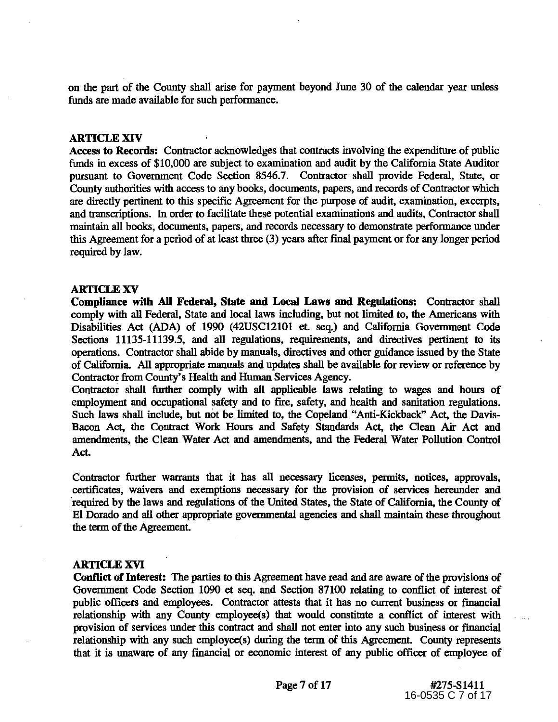on the part of the County shall arise for payment beyond June 30 of the calendar year unless funds are made available for such performance.

#### ARTICLE XIV

Access to Records: Contractor acknowledges that contracts involving the expenditure of public funds in excess of \$10,000 are subject to examination and audit by the California State Auditor pursuant to Government Code Section 8546.7. Contractor shall provide Federal, State, or County authorities with access to any books, documents, papers, and records of Contractor which are directly pertinent to this specific Agreement for the purpose of audit, examination, excerpts, and transcriptions. 1n order to facilitate these potential examinations and audits, Contractor shall maintain all books, documents, papers, and records necessary to demonstrate performance under this Agreement for a period of at least three (3) years after final payment or for any longer period required by law.

#### ARTICLE XV

Compliance with AU Federal, State and Local Laws and Regulations: Contractor shall comply with all Federal, State and local laws including, but not limited to, the Americans with Disabilities Act (ADA) of 1990 (42USC12101 et. seq.) and California Government Code Sections 11135-11139.5, and all regulations, requirements, and directives pertinent to its operations. Contractor shall abide by manuals, directives and other guidance issued by the State of California. All appropriate manuals and updates shall be available for review or reference by Contractor from County's Health and Human Services Agency.

Contractor shall further comply with all applicable laws relating to wages and hours of employment and occupational safety and to fire, safety, and health and sanitation regulations. Such laws shall include, but not be limited to, the Copeland "Anti-Kickback" Act, the Davis-Bacon Act, the Contract Work Hours and Safety Standards Act, the Clean Air Act and amendments, the Clean Water Act and amendments, and the Federal Water Pollution Control Act.

Contractor further warrants that it has all necessary licenses, permits, notices, approvals, certificates, waivers and exemptions necessary for the provision of services hereunder and required by the laws and regulations of the United States, the State of California, the County of El Dorado and all other appropriate governmental agencies and shall maintain these throughout the term of the Agreement.

#### ARTICLE XVI

Conflict of Interest: The parties to this Agreement have read and are aware of the provisions of Government Code Section 1090 et seq. and Section 87100 relating to conflict of interest of public officers and employees. Contractor attests that it has no current business or fmancial relationship with any County employee(s) that would constitute a conflict of interest with provision of services under this contract and shall not enter into any such business or fmancial relationship with any such employee(s) during the term of this Agreement. County represents that it is unaware of any financial or economic interest of any public officer of employee of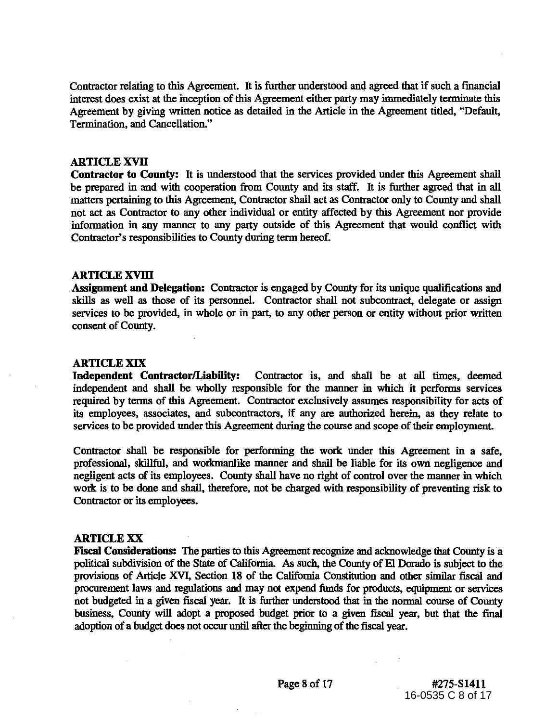Contractor relating to this Agreement. It is further understood and agreed that if such a fmancial interest does exist at the inception of this Agreement either party may immediately terminate this Agreement by giving written notice as detailed in the Article in the Agreement titled, "Default, Termination, and Cancellation."

## **ARTICLE XVII**

**Contractor to County:** It is understood that the services provided under this Agreement shall be prepared in and with cooperation from County and its staff. It is further agreed that in all matters pertaining to this Agreement, Contractor shall act as Contractor only to County and shall not act as Contractor to any other individual or entity affected by this Agreement nor provide information in any manner to any party outside of this Agreement that would conflict with Contractor's responsibilities to County during term hereof.

## **ARTICLEXVIll**

**Assignment and Delegation:** Contractor is engaged by County for its unique qualifications and skills as well as those of its personnel. Contractor shall not subcontract, delegate or assign services to be provided, in whole or in part, to any other person or entity without prior written consent of County.

#### **ARTICLE XIX**

**Independent Contractor/Liability:** Contractor is, and shall be at all times, deemed independent and shall be wholly responsible for the manner in which it performs services required by terms of this Agreement. Contractor exclusively assumes responsibility for acts of its employees, associates, and subcontractors, if any are authorized herein, as they relate to services to be provided under this Agreement during the course and scope of their employment.

Contractor shall be responsible for performing the work under this Agreement in a safe, professional, skillful, and workmanlike manner and shall be liable for its own negligence and negligent acts of its employees. County shall have no right of control over the manner in which work is to be done and shall, therefore, not be charged with responsibility of preventing risk to Contractor or its employees.

#### **ARTICLE XX**

**Fiscal Considerations:** The parties to this Agreement recognize and acknowledge that County is a political subdivision of the State of California. As such, the County of El Dorado is subject to the provisions of Article XVI, Section 18 of the California Constitution and other similar fiscal and procurement laws and regulations and may not expend funds for products, equipment or services not budgeted in a given fiscal year. It is further understood that in the normal course of County business, County will adopt a proposed budget prior to a given fiscal year, but that the final adoption of a budget does not occur until after the beginning of the fiscal year.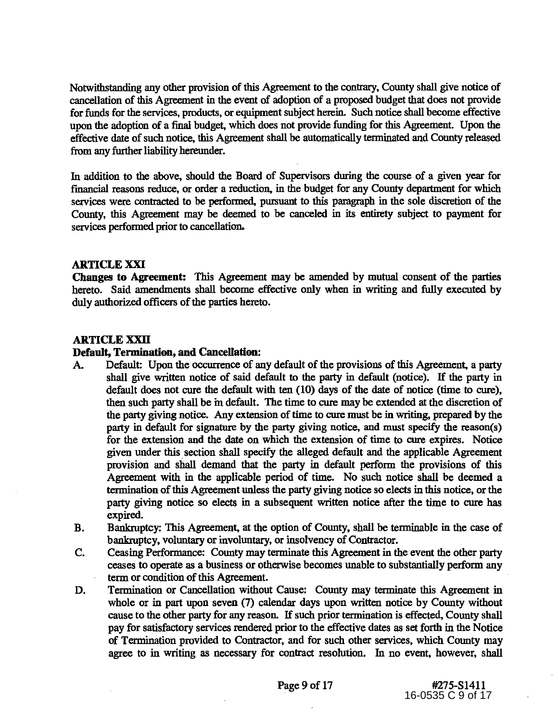Notwithstanding any other provision of this Agreement to the contrary, County shall give notice of cancellation of this Agreement in the event of adoption of a proposed budget that does not provide for funds for the services, products, or equipment subject herein. Such notice shall become effective upon the adoption of a final budget, which does not provide funding for this Agreement. Upon the effective date of such notice, this Agreement shall be automatically terminated and County released from any further liability hereunder.

In addition to the above, should the Board of Supervisors during the course of a given year for fmancial reasons reduce, or order a reduction, in the budget for any County department for which services were contracted to be performed, pursuant to this paragraph in the sole discretion of the County, this Agreement may be deemed to be canceled in its entirety subject to payment for services performed prior to cancellation.

# **ARTICLE XXI**

**Changes to Agreement:** This Agreement may be amended by mutual consent of the parties hereto. Said amendments shall become effective only when in writing and fully executed by duly authorized officers of the parties hereto.

## **ARTICLE XXII**

## **Default, Termination, and CanceUation:**

- A. Default: Upon the occurrence of any default of the provisions of this Agreement, a party shall give written notice of said defanlt to the party in default (notice). If the party in default does not cure the default with ten (10) days of the date of notice (time to cure), then such party shall be in default. The time to cure may be extended at the discretion of the party giving notice. Any extension of time to cure must be in writing, prepared by the party in default for signature by the party giving notice, and must specify the reason(s) for the extension and the date on which the extension of time to cure expires. Notice given under this. section shall specify the alleged default and the applicable Agreement provision and shall demand that the party in default perform the provisions of this Agreement with in the applicable period of time. No such notice shall be deemed a termination of this Agreement unless the party giving notice so elects in this notice, or the party giving notice so elects in a subsequent written notice after the time to cure has expired.
- B. Bankruptcy: This Agreement, at the option of County, shall be terminable in the case of bankruptcy, voluntary or involuntary, or insolvency of Contractor.
- C. Ceasing Performance: County may terminate this Agreement in the event the other party ceases to operate as a business or otherwise becomes unable to substantially perform any term or condition of this Agreement.
- D. Termination or Cancellation without Cause: County may terminate this Agreement in whole or in part upon seven (7) calendar days upon written notice by County without cause to the other party for any reason. If such prior termination is effected, County shall pay for satisfactory services rendered prior to the effective dates as set forth in the Notice of Termination provided to Contractor, and for such other services, which County may agree to in writing as necessary for contract resolution. In no event, however, shall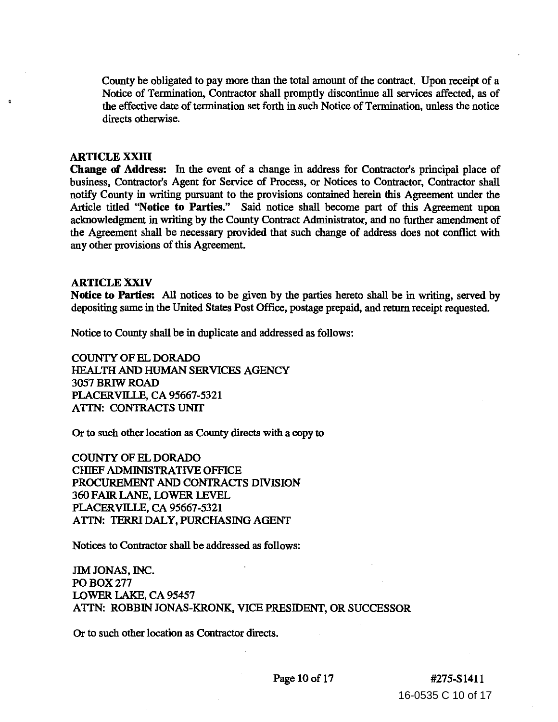County be obligated to pay more than the total amount of the contract. Upon receipt of a Notice of Termination, Contractor shall promptly discontinue all services affected, as of the effective date of termination set forth in such Notice of Termination, unless the notice directs otherwise.

#### ARTICLE XXIII

Change of Address: In the event of a change in address for Contractor's principal place of business, Contractor's Agent for Service of Process, or Notices to Contractor, Contractor shall notify County in writing pursuant to the provisions contained herein this Agreement under the Article titled "Notice to Parties." Said notice shall become part of this Agreement upon acknowledgment in writing by the County Contract Administrator, and no further amendment of the Agreement shall be necessary provided that such change of address does not conflict with any other provisions of this Agreement.

#### ARTICLE XXIV

Notice to Parties: All notices to be given by the parties hereto shall be in writing, served by depositing same in the United States Post Office, postage prepaid, and return receipt requested.

Notice to County shall be in duplicate and addressed as follows:

COUNTY OF ELDORADO HEALTH AND HUMAN SERVICES AGENCY 3057 BRIW ROAD PLACERVILLE, CA 95667-5321 ATTN: CONTRACTS UNIT

Or to such other location as County directs with a copy to

COUNTY OF ELDORADO ClllEF ADMINISTRATIVE OFFICE PROCUREMENT AND CONTRACTS DIVISION 360 FAIR LANE, LOWER LEVEL PLACERVILLE, CA 95667-5321 ATTN: TERRI DALY, PURCHASING AGENT

Notices to Contractor shall be addressed as follows:

JIM JONAS, INC. POBOX277 LOWER LAKE, CA 95457 A TIN: ROBBIN JONAS-KRONK, VICE PRESIDENT, OR SUCCESSOR

Or to such other location as Contractor directs.

16-0535 C 10 of 17 Page 10 of 17 #275-S1411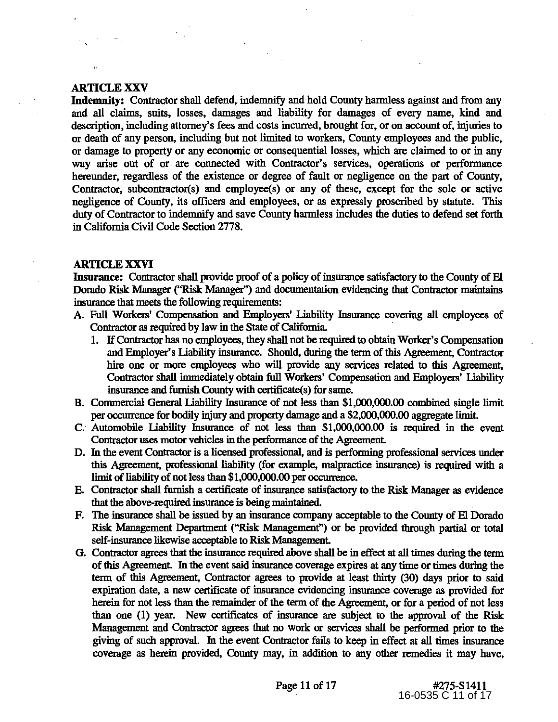## **ARTICLE XXV**

,,

**Indemnity:** Contractor shall defend, indemnify and hold County harmless against and from any and all claims, suits, losses, damages and liability for damages of every name, kind and description, including attorney's fees and costs incurred, brought for, or on account of, injuries to or death of any person, including but not limited to workers, County employees and the public, or damage to property or any economic or consequential losses, which are claimed to or in any way arise out of or are connected with Contractor's services, operations or performance hereunder, regardless of the existence or degree of fault or negligence on the part of County, Contractor, subcontractor(s) and employee(s) or any of these, except for the sole or active negligence of County, its officers and employees, or as expressly proscribed by statute. This duty of Contractor to indemnify and save County harmless includes the duties to defend set forth in California Civil Code Section 2778.

## **ARTICLE XXVI**

Insurance: Contractor shall provide proof of a policy of insurance satisfactory to the County of El Dorado Risk Manager ("Risk Manager'') and documentation evidencing that Contractor maintains insurance that meets the following requirements:

- A. Full Workers' Compensation and Employers' Liability Insurance covering all employees of Contractor as required by law in the State of California
	- 1. If Contractor has no employees, they shall not be required to obtain Worker's Compensation and Employer's liability insurance. Should, during the term of this Agreement, Contractor hire one or more employees who will provide any services related to this Agreement, Contractor shall innnediately obtain full Workers' Compensation and Employers' liability insurance and furnish County with certificate(s) for same.
- B. Commercial General liability Insurance of not less than \$1,000,000.00 combined single limit per occurrence for bodily injury and property damage and a \$2,000,000.00 aggregate limit.
- C. Automobile liability Insurance of not less than \$1,000,000.00 is required in the event Contractor uses motor vehicles in the performance of the Agreement.
- D. In the event Contractor is a licensed professional, and is performing professional services under this Agreement, professional liability (for example, malpractice insurance) is required with a limit of liability of not less than \$1,000,000.00 per occurrence.
- E. Contractor shall furnish a certificate of insurance satisfactory to the Risk Manager as evidence that the above-required insurance is being maintained.
- F. The insurance shall be issued by an insurance company acceptable to the County of El Dorado Risk Management Department ("Risk Management'') or be provided through partial or total self-insurance likewise acceptable to Risk Management.
- G. Contractor agrees that the insurance required above shall be in effect at all times during the term of this Agreement. In the event said insurance coverage expires at any time or times during the term of this Agreement, Contractor agrees to provide at least thirty (30) days prior to said expiration date, a new certificate of insurance evidencing insurance coverage as provided for herein for not less than the remainder of the term of the Agreement, or for a period of not less than one (1) year. New certificates of insurance are subject to the approval of the Risk Management and Contractor agrees that no work or services shall be performed prior to the giving of such approval. In the event Contractor fails to keep in effect at all times insurance coverage as herein provided, County may, in addition to any other remedies it may have,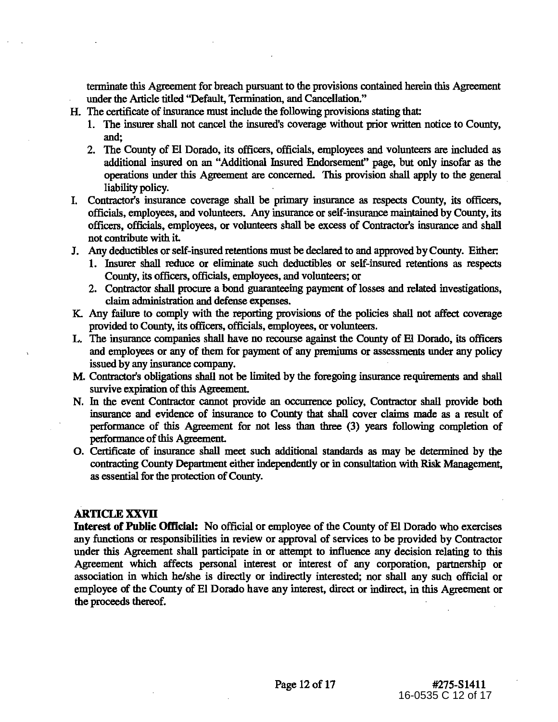terminate this Agreement for breach pursuant to the provisions contained herein this Agreement under the Article titled "Default, Termination, and Cancellation."

- H. The certificate of insurance must include the following provisions stating that
	- 1. The insurer shall not cancel the insured's coverage without prior written notice to County, and;
	- 2. The County of El Dorado, its officers, officials, employees and volunteers are included as additional insured on an "Additional Insured Endorsement" page, but only insofar as the operations under this Agreement are concerned. This provision shall apply to the general liability policy.
- I. Contractor's insurance coverage shall be primary insurance as respects County, its officers, officials, employees, and volunteers. Any insurance or self-insurance maintained by County, its officers, officials, employees, or volunteers shall be excess of Contractor's insurance and shall not contribute with it.
- J. Any deductibles or self-insured retentions must be declared to and approved by County. Either:
	- 1. Insurer shall reduce or eliminate such deductibles or self-insured retentions as respects County, its officers, officials, employees, and volunteers; or
	- 2. Contractor shall procure a bond guaranteeing payment of losses and related investigations, claim administration and defense expenses.
- K. Any failure to comply with the reporting provisions of the policies shall not affect coverage provided to County, its officers, officials, employees, or volunteers.
- L. The insurance companies shall have no recourse against the County of E1 Dorado, its officers and employees or any of them for payment of any premiums or assessments under any policy issued by any insurance company.
- **M.** Contractor's obligations shall not be limited by the foregoing insurance requirements and shall survive expiration of this Agreement.
- N. In the event Contractor cannot provide an occurrence policy, Contractor shall provide both insurance and evidence of insurance to County that shall cover claims made as a result of performance of this Agreement for not less than three (3) years following completion of performance of this Agreement.
- 0. Certificate of insurance shall meet such additional standards as may be determined by the contracting County Department either independently or in consultation with Risk Management, as essential for the protection of County.

# **ARTICLE XXVII**

Interest of Public Official: No official or employee of the County of El Dorado who exercises any functions or responsibilities in review or approval of services to be provided by Contractor under this Agreement shall participate in or attempt to influence any decision relating to this Agreement which affects personal interest or interest of any corporation, partnership or association in which he/she is directly or indirectly interested; nor shall any such official or employee of the County of El Dorado have any interest, direct or indirect, in this Agreement or the proceeds thereof.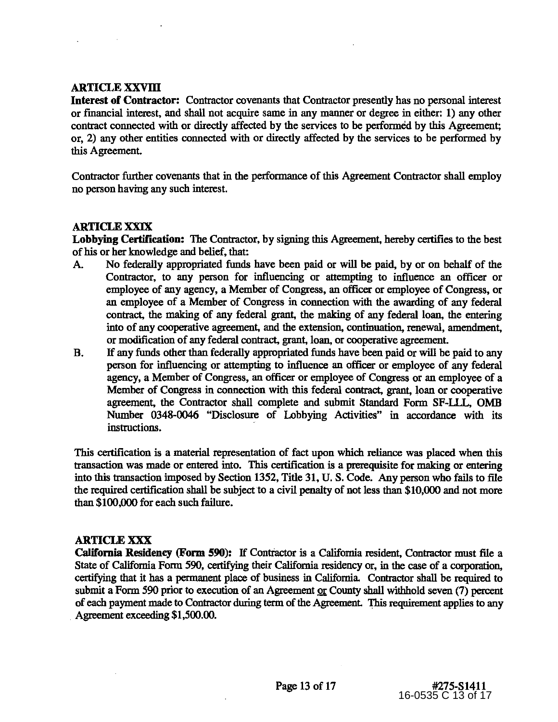# **ARTICLE XXVIll**

**Interest of Contractor:** Contractor covenants that Contractor presently has no personal interest or fmancial interest, and shall not acquire same in any manner or degree in either: 1) any other contract connected with or directly affected by the services to be performed by this Agreement; or, 2) any other entities connected with or directly affected by the services to be performed by this Agreement.

Contractor further covenants that in the performance of this Agreement Contractor shall employ no person having any such interest.

# **ARTICLE XXIX**

**Lobbying Certification:** The Contractor, by signing this Agreement, hereby certifies to the best of his or her knowledge and belief, that:

- A. No federally appropriated funds have been paid or will be paid, by or on behalf of the Contractor, to any person for influencing or attempting to influence an officer or employee of any agency, a Member of Congress, an officer or employee of Congress, or an employee of a Member of Congress in connection with the awarding of any federal contract, the making of any federal grant, the making of any federal loan, the entering into of any cooperative agreement, and the extension, continuation, renewal, amendment, or modification of any federal contract, grant, loan, or cooperative agreement.
- B. If any funds other than federally appropriated funds have been paid or will be paid to any person for influencing or attempting to influence an officer or employee of any federal agency, a Member of Congress, an officer or employee of Congress or an employee of a Member of Congress in connection with this federal contract, grant, loan or cooperative agreement, the Contractor shall complete and submit Standard Form SF-U.L, OMB Number 0348-0046 "Disclosure of Lobbying Activities" in accordance with its instructions.

This certification is a material representation of fact upon which reliance was placed when this transaction was made or entered into. This certification is a prerequisite for making or entering into this transaction imposed by Section 1352, Title 31, U.S. Code. Any person who fails to file the required certification shall be subject to a civil penalty of not less than \$10,000 and not more than \$100,000 for each such failure.

# **ARTICLE XXX**

**California Residency (Form 590):** If Contractor is a California resident, Contractor must file a State of California Form 590, certifying their California residency or, in the case of a corporation, certifying that it has a permanent place of business in California Contractor shall be required to submit a Form 590 prior to execution of an Agreement or County shall withhold seven (7) percent of each payment made to Contractor during term of the Agreement. This requirement applies to any Agreement exceeding \$1,500.00.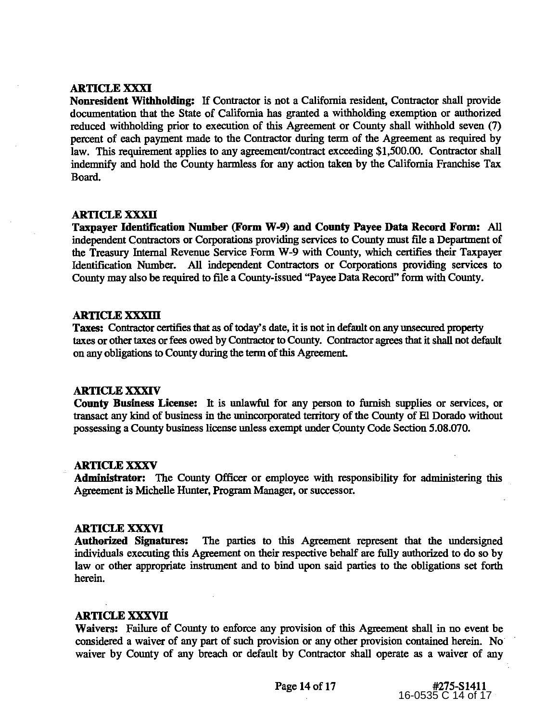## ARTICLE XXXI

Nonresident Withholding: If Contractor is not a California resident, Contractor shall provide documentation that the State of California has granted a withholding exemption or authorized reduced withholding prior to execution of this Agreement or County shall withhold seven (7) percent of each payment made to the Contractor during term of the Agreement as required by law. This requirement applies to any agreement/contract exceeding \$1,500.00. Contractor shall indemnify and hold the County harmless for any action taken by the California Franchise Tax Board.

## **ARTICLE XXXII**

Taxpayer Identification Number (Form W-9) and County Payee Data Record Form: All independent Contractors or Corporations providing services to County must file a Department of the Treasury Internal Revenue Service Form W-9 with County, which certifies their Taxpayer Identification Number. All independent Contractors or Corporations providing services to County may also be required to file a County-issued "Payee Data Record" form with County.

#### ARTICLE XXXIII

Taxes: Contractor certifies that as of today's date, it is not in default on any unsecured property taxes or other taxes or fees owed by Contractor to County. Contractor agrees that it shall not default on any obligations to County during the term of this Agreement.

## ARTICLE XXXIV

County Business License: It is unlawful for any person to furnish supplies or services, or transact any kind of business in the unincorporated territory of the County of El Dorado without possessing a County business license unless exempt under County Code Section 5.08.070.

## ARTICLE XXXV

Administrator: The County Officer or employee with responsibility for administering this Agreement is Michelle Hunter, Program Manager, or successor.

## ARTICLE XXXVI

Authorized Signatures: The parties to this Agreement represent that the undersigned individuals executing this Agreement on their respective behalf are fully authorized to do so by law or other appropriate instrument and to bind upon said parties to the obligations set forth herein.

# ARTICLE XXXVII

Waivers: Failure of County to enforce any provision of this Agreement shall in no event be considered a waiver of any part of such provision or any other provision contained herein. No waiver by County of any breach or default by Contractor shall operate as a waiver of any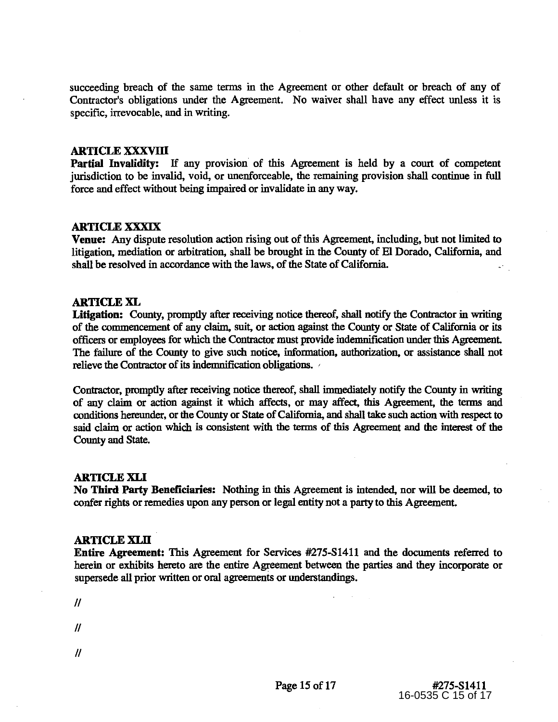succeeding breach of the same terms in the Agreement or other default or breach of any of Contractor's obligations under the Agreement. No waiver shall have any effect unless it is specific, irrevocable, and in writing.

#### ARTICLE XXXVIll

Partial Invalidity: If any provision of this Agreement is held by a court of competent jurisdiction to be invalid, void, or unenforceable, the remaining provision shall continue in full force and effect without being impaired or invalidate in any way.

## ARTICLE XXXIX

Venue: Any dispute resolution action rising out of this Agreement, including, but not limited to litigation, mediation or arbitration, shall be brought in the County of El Dorado, California, and shall be resolved in accordance with the laws, of the State of California.

#### ARTICLE XL

Litigation: County, promptly after receiving notice thereof, shall notify the Contractor in writing of the commencement of any claim, suit, or action against the County or State of California or its officers or employees for which the Contractor must provide indemnification under this Agreement. The failure of the County to give such notice, information, authorization, or assistance shall not relieve the Contractor of its indemnification obligations.

Contractor, promptly after receiving notice thereof, shall immediately notify the County in writing of any claim or action against it which affects, or may affect, this Agreement, the terms and conditions hereunder, or the County or State of California, and shall take such action with respect to said claim or action which is consistent with the terms of this Agreement and the interest of the County and State.

## ARTICLE XLI

No Third Party Beneficiaries: Nothing in this Agreement is intended, nor will be deemed, to confer rights or remedies upon any person or legal entity not a party to this Agreement.

#### ARTICLE XLII

Entire Agreement: This Agreement for Services #275-S1411 and the documents referred to herein or exhibits hereto are the entire Agreement between the parties and they incorporate or supersede all prior written or oral agreements or understandings.

 $\mathcal{U}$ 

 $\mathcal{U}$ 

- 
- $\mathcal{U}$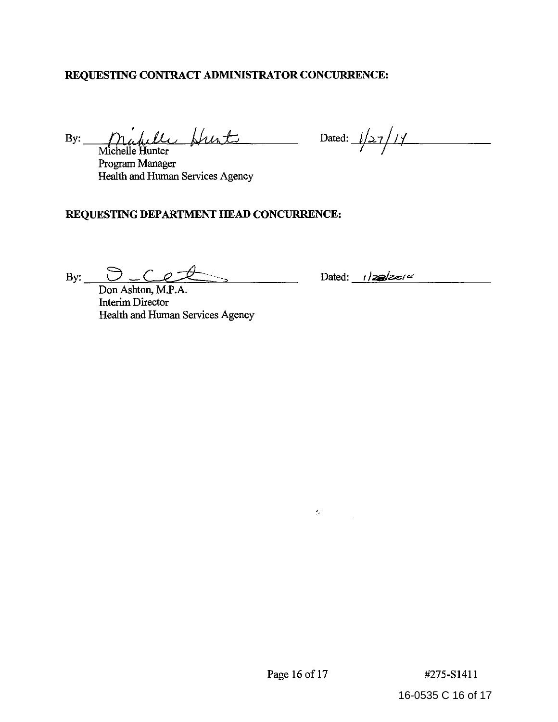# **REQUESTING CONTRACT ADMINISTRATOR CONCURRENCE:**

Michelle Hunter Program Manager Health and Human Services Agency

 $B$ y:  $\int M$ *infielle Hunts* Dated:  $1/27/17$  $\mathcal{T}$ 

# **REQUESTING DEPARTMENT HEAD CONCURRENCE:**

By:  $\frac{1}{2}$ 

Don Ashton, M.P.A. Interim Director Health and Human Services Agency

Dated: 1/*zalz=14* 

 $\mathbf{S}^{(n)}$  and  $\mathbf{S}^{(n)}$ 

Page 16 of 17 #275-S1411

16-0535 C 16 of 17